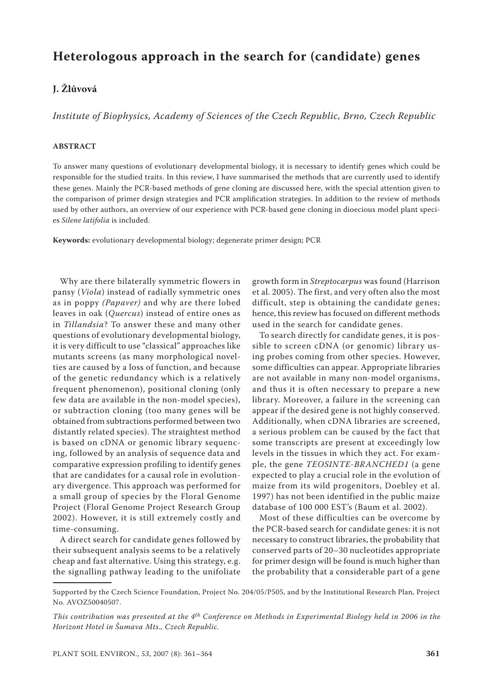# **Heterologous approach in the search for (candidate) genes**

## **J. Žlůvová**

*Institute of Biophysics, Academy of Sciences of the Czech Republic, Brno, Czech Republic*

#### **ABSTRACT**

To answer many questions of evolutionary developmental biology, it is necessary to identify genes which could be responsible for the studied traits. In this review, I have summarised the methods that are currently used to identify these genes. Mainly the PCR-based methods of gene cloning are discussed here, with the special attention given to the comparison of primer design strategies and PCR amplification strategies. In addition to the review of methods used by other authors, an overview of our experience with PCR-based gene cloning in dioecious model plant species *Silene latifolia* is included.

**Keywords:** evolutionary developmental biology; degenerate primer design; PCR

Why are there bilaterally symmetric flowers in pansy (*Viola*) instead of radially symmetric ones as in poppy *(Papaver)* and why are there lobed leaves in oak (*Quercus*) instead of entire ones as in *Tillandsia*? To answer these and many other questions of evolutionary developmental biology, it is very difficult to use "classical" approaches like mutants screens (as many morphological novelties are caused by a loss of function, and because of the genetic redundancy which is a relatively frequent phenomenon), positional cloning (only few data are available in the non-model species), or subtraction cloning (too many genes will be obtained from subtractions performed between two distantly related species). The straightest method is based on cDNA or genomic library sequencing, followed by an analysis of sequence data and comparative expression profiling to identify genes that are candidates for a causal role in evolutionary divergence. This approach was performed for a small group of species by the Floral Genome Project (Floral Genome Project Research Group 2002). However, it is still extremely costly and time-consuming.

A direct search for candidate genes followed by their subsequent analysis seems to be a relatively cheap and fast alternative. Using this strategy, e.g. the signalling pathway leading to the unifoliate

growth form in *Streptocarpus* was found (Harrison et al. 2005). The first, and very often also the most difficult, step is obtaining the candidate genes; hence, this review has focused on different methods used in the search for candidate genes.

To search directly for candidate genes, it is possible to screen cDNA (or genomic) library using probes coming from other species. However, some difficulties can appear. Appropriate libraries are not available in many non-model organisms, and thus it is often necessary to prepare a new library. Moreover, a failure in the screening can appear if the desired gene is not highly conserved. Additionally, when cDNA libraries are screened, a serious problem can be caused by the fact that some transcripts are present at exceedingly low levels in the tissues in which they act. For example, the gene *TEOSINTE-BRANCHED1* (a gene expected to play a crucial role in the evolution of maize from its wild progenitors, Doebley et al. 1997) has not been identified in the public maize database of 100 000 EST's (Baum et al. 2002).

Most of these difficulties can be overcome by the PCR-based search for candidate genes: it is not necessary to construct libraries, the probability that conserved parts of 20–30 nucleotides appropriate for primer design will be found is much higher than the probability that a considerable part of a gene

Supported by the Czech Science Foundation, Project No. 204/05/P505, and by the Institutional Research Plan, Project No. AVOZ50040507.

*This contribution was presented at the 4th Conference on Methods in Experimental Biology held in 2006 in the Horizont Hotel in Šumava Mts., Czech Republic.*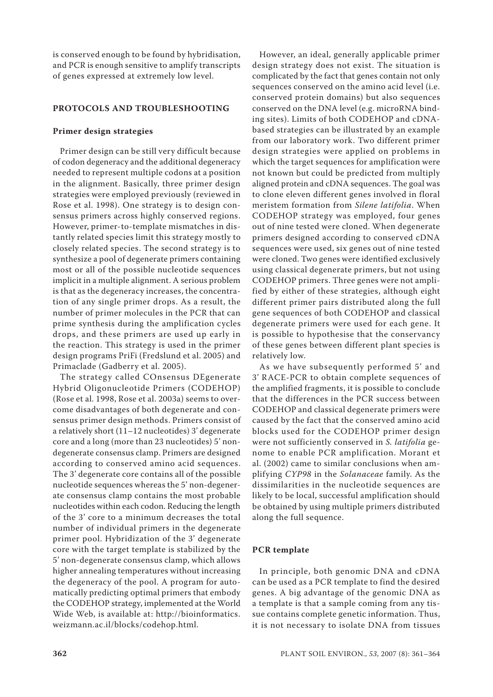is conserved enough to be found by hybridisation, and PCR is enough sensitive to amplify transcripts of genes expressed at extremely low level.

## **PROTOCOLS AND TROUBLESHOOTING**

## **Primer design strategies**

Primer design can be still very difficult because of codon degeneracy and the additional degeneracy needed to represent multiple codons at a position in the alignment. Basically, three primer design strategies were employed previously (reviewed in Rose et al. 1998). One strategy is to design consensus primers across highly conserved regions. However, primer-to-template mismatches in distantly related species limit this strategy mostly to closely related species. The second strategy is to synthesize a pool of degenerate primers containing most or all of the possible nucleotide sequences implicit in a multiple alignment. A serious problem is that as the degeneracy increases, the concentration of any single primer drops. As a result, the number of primer molecules in the PCR that can prime synthesis during the amplification cycles drops, and these primers are used up early in the reaction. This strategy is used in the primer design programs PriFi (Fredslund et al. 2005) and Primaclade (Gadberry et al. 2005).

The strategy called COnsensus DEgenerate Hybrid Oligonucleotide Primers (CODEHOP) (Rose et al. 1998, Rose et al. 2003a) seems to overcome disadvantages of both degenerate and consensus primer design methods. Primers consist of a relatively short (11–12 nucleotides) 3' degenerate core and a long (more than 23 nucleotides) 5' nondegenerate consensus clamp. Primers are designed according to conserved amino acid sequences. The 3' degenerate core contains all of the possible nucleotide sequences whereas the 5' non-degenerate consensus clamp contains the most probable nucleotides within each codon. Reducing the length of the 3' core to a minimum decreases the total number of individual primers in the degenerate primer pool. Hybridization of the 3' degenerate core with the target template is stabilized by the 5' non-degenerate consensus clamp, which allows higher annealing temperatures without increasing the degeneracy of the pool. A program for automatically predicting optimal primers that embody the CODEHOP strategy, implemented at the World Wide Web, is available at: http://bioinformatics. weizmann.ac.il/blocks/codehop.html.

However, an ideal, generally applicable primer design strategy does not exist. The situation is complicated by the fact that genes contain not only sequences conserved on the amino acid level (i.e. conserved protein domains) but also sequences conserved on the DNA level (e.g. microRNA binding sites). Limits of both CODEHOP and cDNAbased strategies can be illustrated by an example from our laboratory work. Two different primer design strategies were applied on problems in which the target sequences for amplification were not known but could be predicted from multiply aligned protein and cDNA sequences. The goal was to clone eleven different genes involved in floral meristem formation from *Silene latifolia*. When CODEHOP strategy was employed, four genes out of nine tested were cloned. When degenerate primers designed according to conserved cDNA sequences were used, six genes out of nine tested were cloned. Two genes were identified exclusively using classical degenerate primers, but not using CODEHOP primers. Three genes were not amplified by either of these strategies, although eight different primer pairs distributed along the full gene sequences of both CODEHOP and classical degenerate primers were used for each gene. It is possible to hypothesise that the conservancy of these genes between different plant species is relatively low.

As we have subsequently performed 5' and 3' RACE-PCR to obtain complete sequences of the amplified fragments, it is possible to conclude that the differences in the PCR success between CODEHOP and classical degenerate primers were caused by the fact that the conserved amino acid blocks used for the CODEHOP primer design were not sufficiently conserved in *S. latifolia* genome to enable PCR amplification. Morant et al. (2002) came to similar conclusions when amplifying *CYP98* in the *Solanaceae* family. As the dissimilarities in the nucleotide sequences are likely to be local, successful amplification should be obtained by using multiple primers distributed along the full sequence.

## **PCR template**

In principle, both genomic DNA and cDNA can be used as a PCR template to find the desired genes. A big advantage of the genomic DNA as a template is that a sample coming from any tissue contains complete genetic information. Thus, it is not necessary to isolate DNA from tissues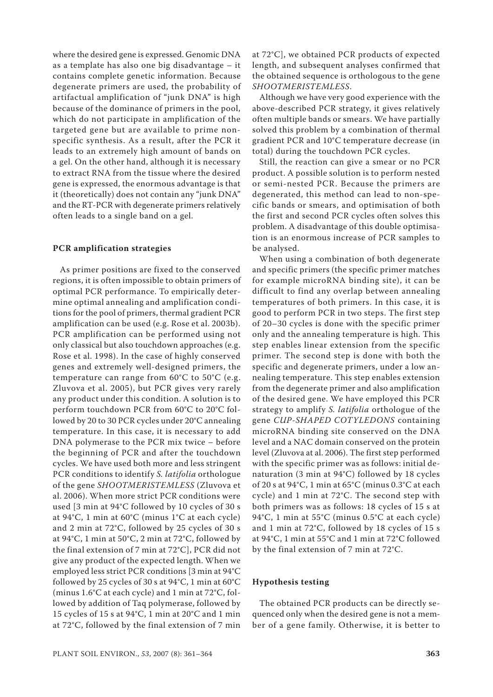where the desired gene is expressed. Genomic DNA as a template has also one big disadvantage – it contains complete genetic information. Because degenerate primers are used, the probability of artifactual amplification of "junk DNA" is high because of the dominance of primers in the pool, which do not participate in amplification of the targeted gene but are available to prime nonspecific synthesis. As a result, after the PCR it leads to an extremely high amount of bands on a gel. On the other hand, although it is necessary to extract RNA from the tissue where the desired gene is expressed, the enormous advantage is that it (theoretically) does not contain any "junk DNA" and the RT-PCR with degenerate primers relatively often leads to a single band on a gel.

## **PCR amplification strategies**

As primer positions are fixed to the conserved regions, it is often impossible to obtain primers of optimal PCR performance. To empirically determine optimal annealing and amplification conditions for the pool of primers, thermal gradient PCR amplification can be used (e.g. Rose et al. 2003b). PCR amplification can be performed using not only classical but also touchdown approaches (e.g. Rose et al. 1998). In the case of highly conserved genes and extremely well-designed primers, the temperature can range from 60°C to 50°C (e.g. Zluvova et al. 2005), but PCR gives very rarely any product under this condition. A solution is to perform touchdown PCR from 60°C to 20°C followed by 20 to 30 PCR cycles under 20°C annealing temperature. In this case, it is necessary to add DNA polymerase to the PCR mix twice – before the beginning of PCR and after the touchdown cycles. We have used both more and less stringent PCR conditions to identify *S. latifolia* orthologue of the gene *SHOOTMERISTEMLESS* (Zluvova et al. 2006). When more strict PCR conditions were used [3 min at 94°C followed by 10 cycles of 30 s at 94°C, 1 min at 60°C (minus 1°C at each cycle) and 2 min at 72°C, followed by 25 cycles of 30 s at 94°C, 1 min at 50°C, 2 min at 72°C, followed by the final extension of 7 min at 72°C], PCR did not give any product of the expected length. When we employed less strict PCR conditions [3 min at 94°C followed by 25 cycles of 30 s at 94°C, 1 min at 60°C (minus 1.6°C at each cycle) and 1 min at 72°C, followed by addition of Taq polymerase, followed by 15 cycles of 15 s at 94°C, 1 min at 20°C and 1 min at 72°C, followed by the final extension of 7 min

at 72°C], we obtained PCR products of expected length, and subsequent analyses confirmed that the obtained sequence is orthologous to the gene *SHOOTMERISTEMLESS*.

Although we have very good experience with the above-described PCR strategy, it gives relatively often multiple bands or smears. We have partially solved this problem by a combination of thermal gradient PCR and 10°C temperature decrease (in total) during the touchdown PCR cycles.

Still, the reaction can give a smear or no PCR product. A possible solution is to perform nested or semi-nested PCR. Because the primers are degenerated, this method can lead to non-specific bands or smears, and optimisation of both the first and second PCR cycles often solves this problem. A disadvantage of this double optimisation is an enormous increase of PCR samples to be analysed.

When using a combination of both degenerate and specific primers (the specific primer matches for example microRNA binding site), it can be difficult to find any overlap between annealing temperatures of both primers. In this case, it is good to perform PCR in two steps. The first step of 20–30 cycles is done with the specific primer only and the annealing temperature is high. This step enables linear extension from the specific primer. The second step is done with both the specific and degenerate primers, under a low annealing temperature. This step enables extension from the degenerate primer and also amplification of the desired gene. We have employed this PCR strategy to amplify *S. latifolia* orthologue of the gene *CUP-SHAPED COTYLEDONS* containing microRNA binding site conserved on the DNA level and a NAC domain conserved on the protein level (Zluvova at al. 2006). The first step performed with the specific primer was as follows: initial denaturation (3 min at 94°C) followed by 18 cycles of 20 s at 94°C, 1 min at 65°C (minus 0.3°C at each cycle) and 1 min at 72°C. The second step with both primers was as follows: 18 cycles of 15 s at 94°C, 1 min at 55°C (minus 0.5°C at each cycle) and 1 min at 72°C, followed by 18 cycles of 15 s at 94°C, 1 min at 55°C and 1 min at 72°C followed by the final extension of 7 min at 72°C.

#### **Hypothesis testing**

The obtained PCR products can be directly sequenced only when the desired gene is not a member of a gene family. Otherwise, it is better to